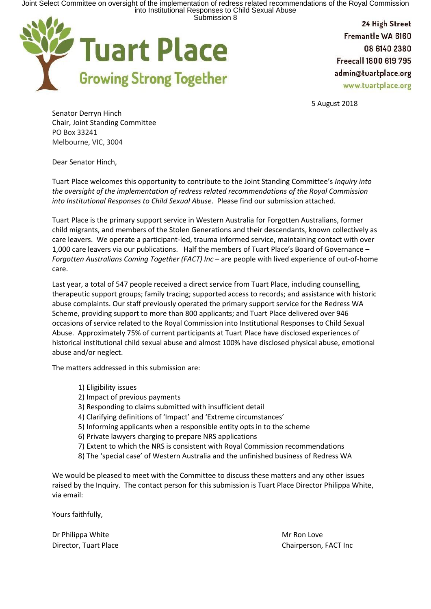

Fremantle WA 6160 08 6140 2380 Freecall 1800 619 795 admin@tuartplace.org www.tuartplace.org

5 August 2018

Senator Derryn Hinch Chair, Joint Standing Committee PO Box 33241 Melbourne, VIC, 3004

Dear Senator Hinch,

Tuart Place welcomes this opportunity to contribute to the Joint Standing Committee's *Inquiry into the oversight of the implementation of redress related recommendations of the Royal Commission into Institutional Responses to Child Sexual Abuse*. Please find our submission attached.

Tuart Place is the primary support service in Western Australia for Forgotten Australians, former child migrants, and members of the Stolen Generations and their descendants, known collectively as care leavers. We operate a participant-led, trauma informed service, maintaining contact with over 1,000 care leavers via our publications. Half the members of Tuart Place's Board of Governance – *Forgotten Australians Coming Together (FACT) Inc* – are people with lived experience of out-of-home care.

Last year, a total of 547 people received a direct service from Tuart Place, including counselling, therapeutic support groups; family tracing; supported access to records; and assistance with historic abuse complaints. Our staff previously operated the primary support service for the Redress WA Scheme, providing support to more than 800 applicants; and Tuart Place delivered over 946 occasions of service related to the Royal Commission into Institutional Responses to Child Sexual Abuse. Approximately 75% of current participants at Tuart Place have disclosed experiences of historical institutional child sexual abuse and almost 100% have disclosed physical abuse, emotional abuse and/or neglect.

The matters addressed in this submission are:

1) Eligibility issues 2) Impact of previous payments 3) Responding to claims submitted with insufficient detail 4) Clarifying definitions of 'Impact' and 'Extreme circumstances' 5) Informing applicants when a responsible entity opts in to the scheme 6) Private lawyers charging to prepare NRS applications 7) Extent to which the NRS is consistent with Royal Commission recommendations 8) The 'special case' of Western Australia and the unfinished business of Redress WA

We would be pleased to meet with the Committee to discuss these matters and any other issues raised by the Inquiry. The contact person for this submission is Tuart Place Director Philippa White, via email:

Yours faithfully,

Dr Philippa White Mr Ron Love Mr Ron Love Mr Ron Love

Director, Tuart Place Chairperson, FACT Inc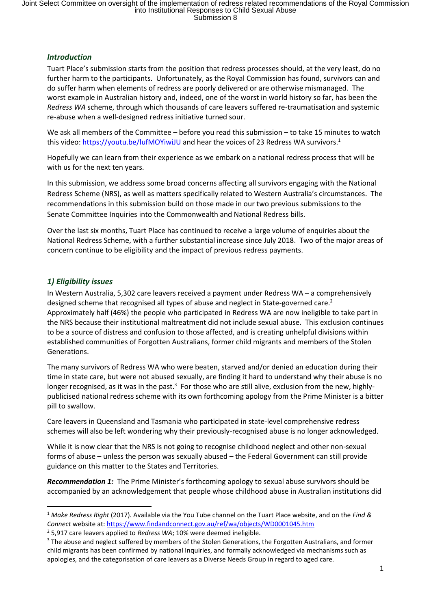# *Introduction*

Tuart Place's submission starts from the position that redress processes should, at the very least, do no further harm to the participants. Unfortunately, as the Royal Commission has found, survivors can and do suffer harm when elements of redress are poorly delivered or are otherwise mismanaged. The worst example in Australian history and, indeed, one of the worst in world history so far, has been the *Redress WA* scheme, through which thousands of care leavers suffered re-traumatisation and systemic re-abuse when a well-designed redress initiative turned sour.

We ask all members of the Committee – before you read this submission – to take 15 minutes to watch this video: https://youtu.be/lufMOYiwiJU and hear the voices of 23 Redress WA survivors.<sup>1</sup>

Hopefully we can learn from their experience as we embark on a national redress process that will be with us for the next ten years.

In this submission, we address some broad concerns affecting all survivors engaging with the National Redress Scheme (NRS), as well as matters specifically related to Western Australia's circumstances. The recommendations in this submission build on those made in our two previous submissions to the Senate Committee Inquiries into the Commonwealth and National Redress bills.

Over the last six months, Tuart Place has continued to receive a large volume of enquiries about the National Redress Scheme, with a further substantial increase since July 2018. Two of the major areas of concern continue to be eligibility and the impact of previous redress payments.

# *1) Eligibility issues*

In Western Australia, 5,302 care leavers received a payment under Redress WA – a comprehensively designed scheme that recognised all types of abuse and neglect in State-governed care.<sup>2</sup> Approximately half (46%) the people who participated in Redress WA are now ineligible to take part in the NRS because their institutional maltreatment did not include sexual abuse. This exclusion continues to be a source of distress and confusion to those affected, and is creating unhelpful divisions within established communities of Forgotten Australians, former child migrants and members of the Stolen Generations.

The many survivors of Redress WA who were beaten, starved and/or denied an education during their time in state care, but were not abused sexually, are finding it hard to understand why their abuse is no longer recognised, as it was in the past.<sup>3</sup> For those who are still alive, exclusion from the new, highlypublicised national redress scheme with its own forthcoming apology from the Prime Minister is a bitter pill to swallow.

Care leavers in Queensland and Tasmania who participated in state-level comprehensive redress schemes will also be left wondering why their previously-recognised abuse is no longer acknowledged.

While it is now clear that the NRS is not going to recognise childhood neglect and other non-sexual forms of abuse – unless the person was sexually abused – the Federal Government can still provide guidance on this matter to the States and Territories.

*Recommendation 1:* The Prime Minister's forthcoming apology to sexual abuse survivors should be accompanied by an acknowledgement that people whose childhood abuse in Australian institutions did

<sup>1</sup> *Make Redress Right* (2017). Available via the You Tube channel on the Tuart Place website, and on the *Find & Connect* website at: https://www.findandconnect.gov.au/ref/wa/objects/WD0001045.htm

<sup>2</sup> 5,917 care leavers applied to *Redress WA*; 10% were deemed ineligible.

<sup>&</sup>lt;sup>3</sup> The abuse and neglect suffered by members of the Stolen Generations, the Forgotten Australians, and former child migrants has been confirmed by national Inquiries, and formally acknowledged via mechanisms such as apologies, and the categorisation of care leavers as a Diverse Needs Group in regard to aged care.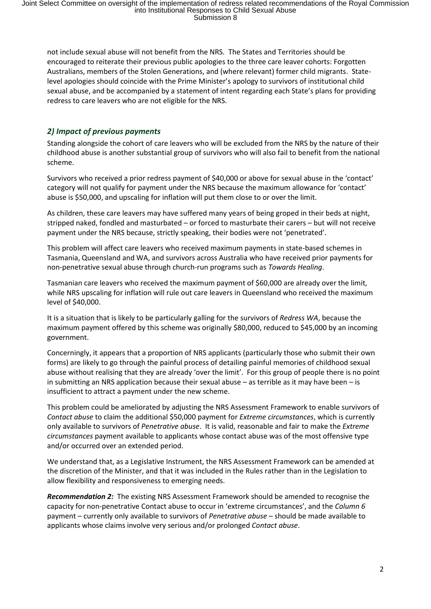not include sexual abuse will not benefit from the NRS. The States and Territories should be encouraged to reiterate their previous public apologies to the three care leaver cohorts: Forgotten Australians, members of the Stolen Generations, and (where relevant) former child migrants. Statelevel apologies should coincide with the Prime Minister's apology to survivors of institutional child sexual abuse, and be accompanied by a statement of intent regarding each State's plans for providing redress to care leavers who are not eligible for the NRS.

# *2) Impact of previous payments*

Standing alongside the cohort of care leavers who will be excluded from the NRS by the nature of their childhood abuse is another substantial group of survivors who will also fail to benefit from the national scheme.

Survivors who received a prior redress payment of \$40,000 or above for sexual abuse in the 'contact' category will not qualify for payment under the NRS because the maximum allowance for 'contact' abuse is \$50,000, and upscaling for inflation will put them close to or over the limit.

As children, these care leavers may have suffered many years of being groped in their beds at night, stripped naked, fondled and masturbated – or forced to masturbate their carers – but will not receive payment under the NRS because, strictly speaking, their bodies were not 'penetrated'.

This problem will affect care leavers who received maximum payments in state-based schemes in Tasmania, Queensland and WA, and survivors across Australia who have received prior payments for non-penetrative sexual abuse through church-run programs such as *Towards Healing*.

Tasmanian care leavers who received the maximum payment of \$60,000 are already over the limit, while NRS upscaling for inflation will rule out care leavers in Queensland who received the maximum level of \$40,000.

It is a situation that is likely to be particularly galling for the survivors of *Redress WA*, because the maximum payment offered by this scheme was originally \$80,000, reduced to \$45,000 by an incoming government.

Concerningly, it appears that a proportion of NRS applicants (particularly those who submit their own forms) are likely to go through the painful process of detailing painful memories of childhood sexual abuse without realising that they are already 'over the limit'. For this group of people there is no point in submitting an NRS application because their sexual abuse – as terrible as it may have been – is insufficient to attract a payment under the new scheme.

This problem could be ameliorated by adjusting the NRS Assessment Framework to enable survivors of *Contact abuse* to claim the additional \$50,000 payment for *Extreme circumstances*, which is currently only available to survivors of *Penetrative abuse*. It is valid, reasonable and fair to make the *Extreme circumstances* payment available to applicants whose contact abuse was of the most offensive type and/or occurred over an extended period.

We understand that, as a Legislative Instrument, the NRS Assessment Framework can be amended at the discretion of the Minister, and that it was included in the Rules rather than in the Legislation to allow flexibility and responsiveness to emerging needs.

*Recommendation 2:* The existing NRS Assessment Framework should be amended to recognise the capacity for non-penetrative Contact abuse to occur in 'extreme circumstances', and the *Column 6* payment – currently only available to survivors of *Penetrative abuse* – should be made available to applicants whose claims involve very serious and/or prolonged *Contact abuse*.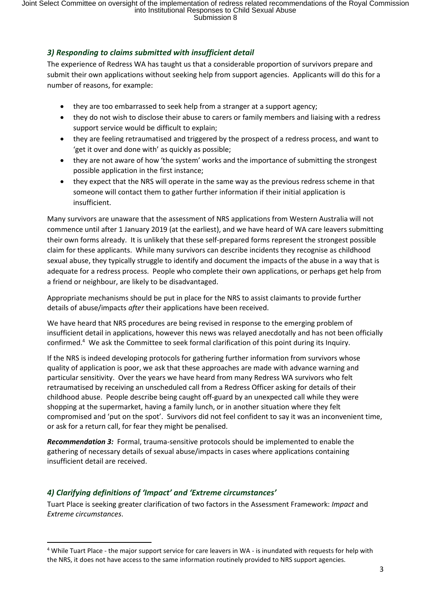# *3) Responding to claims submitted with insufficient detail*

The experience of Redress WA has taught us that a considerable proportion of survivors prepare and submit their own applications without seeking help from support agencies. Applicants will do this for a number of reasons, for example:

- they are too embarrassed to seek help from a stranger at a support agency;
- they do not wish to disclose their abuse to carers or family members and liaising with a redress support service would be difficult to explain;
- they are feeling retraumatised and triggered by the prospect of a redress process, and want to 'get it over and done with' as quickly as possible;
- they are not aware of how 'the system' works and the importance of submitting the strongest possible application in the first instance;
- they expect that the NRS will operate in the same way as the previous redress scheme in that someone will contact them to gather further information if their initial application is insufficient.

Many survivors are unaware that the assessment of NRS applications from Western Australia will not commence until after 1 January 2019 (at the earliest), and we have heard of WA care leavers submitting their own forms already. It is unlikely that these self-prepared forms represent the strongest possible claim for these applicants. While many survivors can describe incidents they recognise as childhood sexual abuse, they typically struggle to identify and document the impacts of the abuse in a way that is adequate for a redress process. People who complete their own applications, or perhaps get help from a friend or neighbour, are likely to be disadvantaged.

Appropriate mechanisms should be put in place for the NRS to assist claimants to provide further details of abuse/impacts *after* their applications have been received.

We have heard that NRS procedures are being revised in response to the emerging problem of insufficient detail in applications, however this news was relayed anecdotally and has not been officially confirmed.<sup>4</sup> We ask the Committee to seek formal clarification of this point during its Inquiry.

If the NRS is indeed developing protocols for gathering further information from survivors whose quality of application is poor, we ask that these approaches are made with advance warning and particular sensitivity. Over the years we have heard from many Redress WA survivors who felt retraumatised by receiving an unscheduled call from a Redress Officer asking for details of their childhood abuse. People describe being caught off-guard by an unexpected call while they were shopping at the supermarket, having a family lunch, or in another situation where they felt compromised and 'put on the spot'. Survivors did not feel confident to say it was an inconvenient time, or ask for a return call, for fear they might be penalised.

*Recommendation 3:* Formal, trauma-sensitive protocols should be implemented to enable the gathering of necessary details of sexual abuse/impacts in cases where applications containing insufficient detail are received.

# *4) Clarifying definitions of 'Impact' and 'Extreme circumstances'*

 $\ddot{\phantom{a}}$ 

Tuart Place is seeking greater clarification of two factors in the Assessment Framework: *Impact* and *Extreme circumstances*.

<sup>4</sup> While Tuart Place - the major support service for care leavers in WA - is inundated with requests for help with the NRS, it does not have access to the same information routinely provided to NRS support agencies.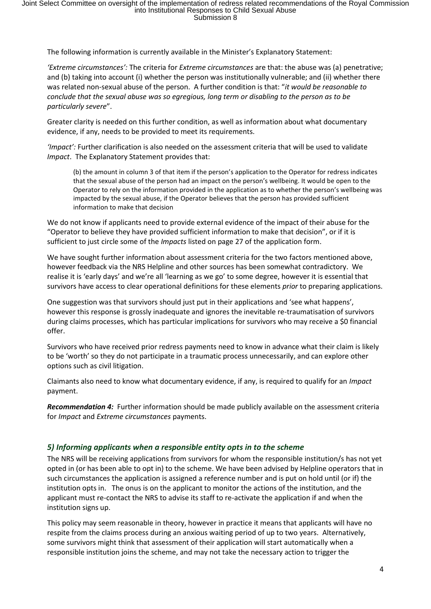The following information is currently available in the Minister's Explanatory Statement:

*'Extreme circumstances':* The criteria for *Extreme circumstances* are that: the abuse was (a) penetrative; and (b) taking into account (i) whether the person was institutionally vulnerable; and (ii) whether there was related non-sexual abuse of the person. A further condition is that: "*it would be reasonable to conclude that the sexual abuse was so egregious, long term or disabling to the person as to be particularly severe*".

Greater clarity is needed on this further condition, as well as information about what documentary evidence, if any, needs to be provided to meet its requirements.

*'Impact':* Further clarification is also needed on the assessment criteria that will be used to validate *Impact*. The Explanatory Statement provides that:

(b) the amount in column 3 of that item if the person's application to the Operator for redress indicates that the sexual abuse of the person had an impact on the person's wellbeing. It would be open to the Operator to rely on the information provided in the application as to whether the person's wellbeing was impacted by the sexual abuse, if the Operator believes that the person has provided sufficient information to make that decision

We do not know if applicants need to provide external evidence of the impact of their abuse for the "Operator to believe they have provided sufficient information to make that decision", or if it is sufficient to just circle some of the *Impacts* listed on page 27 of the application form.

We have sought further information about assessment criteria for the two factors mentioned above, however feedback via the NRS Helpline and other sources has been somewhat contradictory. We realise it is 'early days' and we're all 'learning as we go' to some degree, however it is essential that survivors have access to clear operational definitions for these elements *prior* to preparing applications.

One suggestion was that survivors should just put in their applications and 'see what happens', however this response is grossly inadequate and ignores the inevitable re-traumatisation of survivors during claims processes, which has particular implications for survivors who may receive a \$0 financial offer.

Survivors who have received prior redress payments need to know in advance what their claim is likely to be 'worth' so they do not participate in a traumatic process unnecessarily, and can explore other options such as civil litigation.

Claimants also need to know what documentary evidence, if any, is required to qualify for an *Impact*  payment.

*Recommendation 4:* Further information should be made publicly available on the assessment criteria for *Impact* and *Extreme circumstances* payments.

#### *5) Informing applicants when a responsible entity opts in to the scheme*

The NRS will be receiving applications from survivors for whom the responsible institution/s has not yet opted in (or has been able to opt in) to the scheme. We have been advised by Helpline operators that in such circumstances the application is assigned a reference number and is put on hold until (or if) the institution opts in. The onus is on the applicant to monitor the actions of the institution, and the applicant must re-contact the NRS to advise its staff to re-activate the application if and when the institution signs up.

This policy may seem reasonable in theory, however in practice it means that applicants will have no respite from the claims process during an anxious waiting period of up to two years. Alternatively, some survivors might think that assessment of their application will start automatically when a responsible institution joins the scheme, and may not take the necessary action to trigger the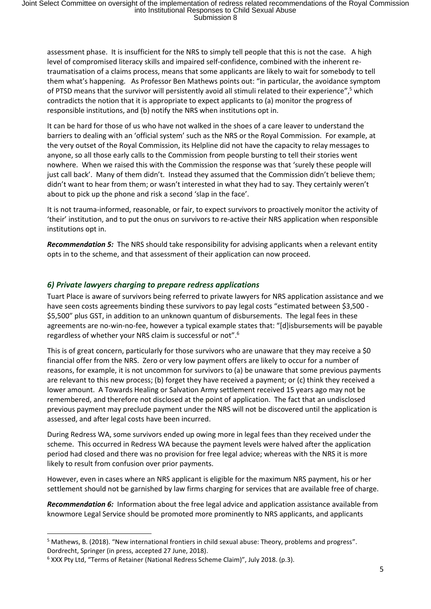assessment phase. It is insufficient for the NRS to simply tell people that this is not the case. A high level of compromised literacy skills and impaired self-confidence, combined with the inherent retraumatisation of a claims process, means that some applicants are likely to wait for somebody to tell them what's happening. As Professor Ben Mathews points out: "in particular, the avoidance symptom of PTSD means that the survivor will persistently avoid all stimuli related to their experience",<sup>5</sup> which contradicts the notion that it is appropriate to expect applicants to (a) monitor the progress of responsible institutions, and (b) notify the NRS when institutions opt in.

It can be hard for those of us who have not walked in the shoes of a care leaver to understand the barriers to dealing with an 'official system' such as the NRS or the Royal Commission. For example, at the very outset of the Royal Commission, its Helpline did not have the capacity to relay messages to anyone, so all those early calls to the Commission from people bursting to tell their stories went nowhere. When we raised this with the Commission the response was that 'surely these people will just call back'. Many of them didn't. Instead they assumed that the Commission didn't believe them; didn't want to hear from them; or wasn't interested in what they had to say. They certainly weren't about to pick up the phone and risk a second 'slap in the face'.

It is not trauma-informed, reasonable, or fair, to expect survivors to proactively monitor the activity of 'their' institution, and to put the onus on survivors to re-active their NRS application when responsible institutions opt in.

*Recommendation 5:* The NRS should take responsibility for advising applicants when a relevant entity opts in to the scheme, and that assessment of their application can now proceed.

# *6) Private lawyers charging to prepare redress applications*

Tuart Place is aware of survivors being referred to private lawyers for NRS application assistance and we have seen costs agreements binding these survivors to pay legal costs "estimated between \$3,500 - \$5,500" plus GST, in addition to an unknown quantum of disbursements. The legal fees in these agreements are no-win-no-fee, however a typical example states that: "[d]isbursements will be payable regardless of whether your NRS claim is successful or not".<sup>6</sup>

This is of great concern, particularly for those survivors who are unaware that they may receive a \$0 financial offer from the NRS. Zero or very low payment offers are likely to occur for a number of reasons, for example, it is not uncommon for survivors to (a) be unaware that some previous payments are relevant to this new process; (b) forget they have received a payment; or (c) think they received a lower amount. A Towards Healing or Salvation Army settlement received 15 years ago may not be remembered, and therefore not disclosed at the point of application. The fact that an undisclosed previous payment may preclude payment under the NRS will not be discovered until the application is assessed, and after legal costs have been incurred.

During Redress WA, some survivors ended up owing more in legal fees than they received under the scheme. This occurred in Redress WA because the payment levels were halved after the application period had closed and there was no provision for free legal advice; whereas with the NRS it is more likely to result from confusion over prior payments.

However, even in cases where an NRS applicant is eligible for the maximum NRS payment, his or her settlement should not be garnished by law firms charging for services that are available free of charge.

*Recommendation 6:* Information about the free legal advice and application assistance available from knowmore Legal Service should be promoted more prominently to NRS applicants, and applicants

 $\overline{a}$ 

<sup>&</sup>lt;sup>5</sup> Mathews, B. (2018). "New international frontiers in child sexual abuse: Theory, problems and progress". Dordrecht, Springer (in press, accepted 27 June, 2018).

<sup>6</sup> XXX Pty Ltd, "Terms of Retainer (National Redress Scheme Claim)", July 2018. (p.3).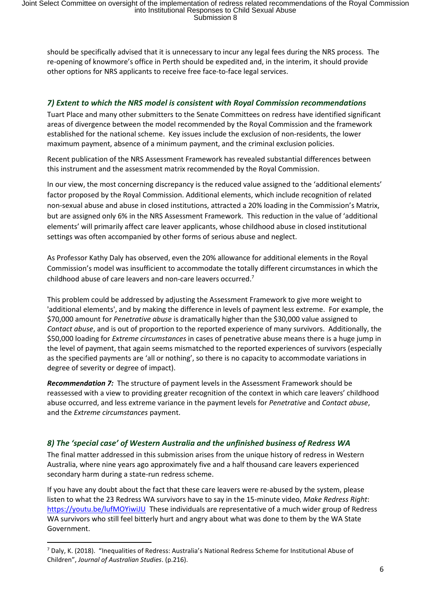should be specifically advised that it is unnecessary to incur any legal fees during the NRS process. The re-opening of knowmore's office in Perth should be expedited and, in the interim, it should provide other options for NRS applicants to receive free face-to-face legal services.

### *7) Extent to which the NRS model is consistent with Royal Commission recommendations*

Tuart Place and many other submitters to the Senate Committees on redress have identified significant areas of divergence between the model recommended by the Royal Commission and the framework established for the national scheme. Key issues include the exclusion of non-residents, the lower maximum payment, absence of a minimum payment, and the criminal exclusion policies.

Recent publication of the NRS Assessment Framework has revealed substantial differences between this instrument and the assessment matrix recommended by the Royal Commission.

In our view, the most concerning discrepancy is the reduced value assigned to the 'additional elements' factor proposed by the Royal Commission. Additional elements, which include recognition of related non-sexual abuse and abuse in closed institutions, attracted a 20% loading in the Commission's Matrix, but are assigned only 6% in the NRS Assessment Framework. This reduction in the value of 'additional elements' will primarily affect care leaver applicants, whose childhood abuse in closed institutional settings was often accompanied by other forms of serious abuse and neglect.

As Professor Kathy Daly has observed, even the 20% allowance for additional elements in the Royal Commission's model was insufficient to accommodate the totally different circumstances in which the childhood abuse of care leavers and non-care leavers occurred.<sup>7</sup>

This problem could be addressed by adjusting the Assessment Framework to give more weight to 'additional elements', and by making the difference in levels of payment less extreme. For example, the \$70,000 amount for *Penetrative abuse* is dramatically higher than the \$30,000 value assigned to *Contact abuse*, and is out of proportion to the reported experience of many survivors. Additionally, the \$50,000 loading for *Extreme circumstances* in cases of penetrative abuse means there is a huge jump in the level of payment, that again seems mismatched to the reported experiences of survivors (especially as the specified payments are 'all or nothing', so there is no capacity to accommodate variations in degree of severity or degree of impact).

*Recommendation 7:* The structure of payment levels in the Assessment Framework should be reassessed with a view to providing greater recognition of the context in which care leavers' childhood abuse occurred, and less extreme variance in the payment levels for *Penetrative* and *Contact abuse*, and the *Extreme circumstances* payment.

# *8) The 'special case' of Western Australia and the unfinished business of Redress WA*

The final matter addressed in this submission arises from the unique history of redress in Western Australia, where nine years ago approximately five and a half thousand care leavers experienced secondary harm during a state-run redress scheme.

If you have any doubt about the fact that these care leavers were re-abused by the system, please listen to what the 23 Redress WA survivors have to say in the 15-minute video, *Make Redress Right*: https://youtu.be/lufMOYiwiJU These individuals are representative of a much wider group of Redress WA survivors who still feel bitterly hurt and angry about what was done to them by the WA State Government.

<sup>7</sup> Daly, K. (2018). "Inequalities of Redress: Australia's National Redress Scheme for Institutional Abuse of Children", *Journal of Australian Studies*. (p.216).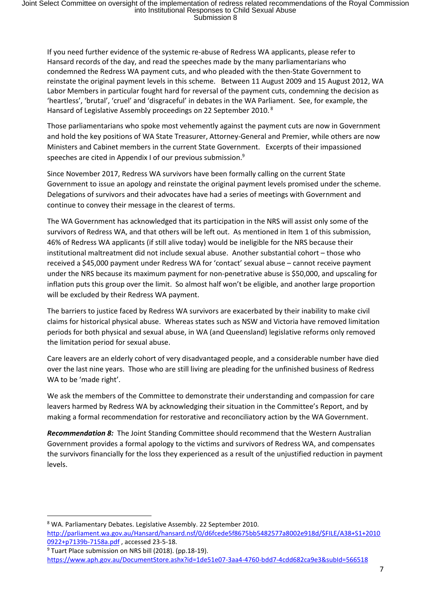If you need further evidence of the systemic re-abuse of Redress WA applicants, please refer to Hansard records of the day, and read the speeches made by the many parliamentarians who condemned the Redress WA payment cuts, and who pleaded with the then-State Government to reinstate the original payment levels in this scheme. Between 11 August 2009 and 15 August 2012, WA Labor Members in particular fought hard for reversal of the payment cuts, condemning the decision as 'heartless', 'brutal', 'cruel' and 'disgraceful' in debates in the WA Parliament. See, for example, the Hansard of Legislative Assembly proceedings on 22 September 2010. <sup>8</sup>

Those parliamentarians who spoke most vehemently against the payment cuts are now in Government and hold the key positions of WA State Treasurer, Attorney-General and Premier, while others are now Ministers and Cabinet members in the current State Government. Excerpts of their impassioned speeches are cited in Appendix I of our previous submission.<sup>9</sup>

Since November 2017, Redress WA survivors have been formally calling on the current State Government to issue an apology and reinstate the original payment levels promised under the scheme. Delegations of survivors and their advocates have had a series of meetings with Government and continue to convey their message in the clearest of terms.

The WA Government has acknowledged that its participation in the NRS will assist only some of the survivors of Redress WA, and that others will be left out. As mentioned in Item 1 of this submission, 46% of Redress WA applicants (if still alive today) would be ineligible for the NRS because their institutional maltreatment did not include sexual abuse. Another substantial cohort – those who received a \$45,000 payment under Redress WA for 'contact' sexual abuse – cannot receive payment under the NRS because its maximum payment for non-penetrative abuse is \$50,000, and upscaling for inflation puts this group over the limit. So almost half won't be eligible, and another large proportion will be excluded by their Redress WA payment.

The barriers to justice faced by Redress WA survivors are exacerbated by their inability to make civil claims for historical physical abuse. Whereas states such as NSW and Victoria have removed limitation periods for both physical and sexual abuse, in WA (and Queensland) legislative reforms only removed the limitation period for sexual abuse.

Care leavers are an elderly cohort of very disadvantaged people, and a considerable number have died over the last nine years. Those who are still living are pleading for the unfinished business of Redress WA to be 'made right'.

We ask the members of the Committee to demonstrate their understanding and compassion for care leavers harmed by Redress WA by acknowledging their situation in the Committee's Report, and by making a formal recommendation for restorative and reconciliatory action by the WA Government.

*Recommendation 8:* The Joint Standing Committee should recommend that the Western Australian Government provides a formal apology to the victims and survivors of Redress WA, and compensates the survivors financially for the loss they experienced as a result of the unjustified reduction in payment levels.

 $\overline{a}$ 

<sup>8</sup> WA. Parliamentary Debates. Legislative Assembly. 22 September 2010.

http://parliament.wa.gov.au/Hansard/hansard.nsf/0/d6fcede5f8675bb5482577a8002e918d/\$FILE/A38+S1+2010 0922+p7139b-7158a.pdf , accessed 23-5-18.

<sup>9</sup> Tuart Place submission on NRS bill (2018). (pp.18-19).

https://www.aph.gov.au/DocumentStore.ashx?id=1de51e07-3aa4-4760-bdd7-4cdd682ca9e3&subId=566518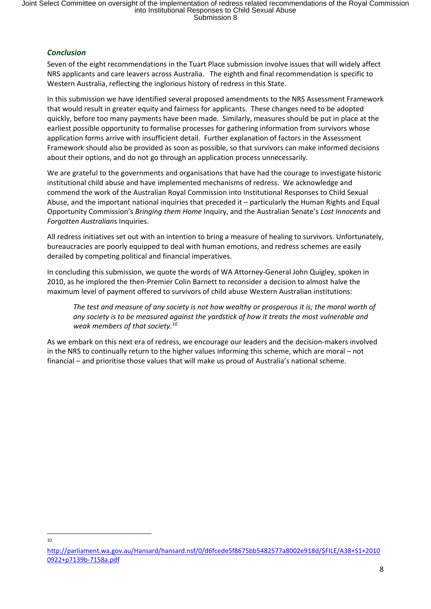# *Conclusion*

Seven of the eight recommendations in the Tuart Place submission involve issues that will widely affect NRS applicants and care leavers across Australia. The eighth and final recommendation is specific to Western Australia, reflecting the inglorious history of redress in this State.

In this submission we have identified several proposed amendments to the NRS Assessment Framework that would result in greater equity and fairness for applicants. These changes need to be adopted quickly, before too many payments have been made. Similarly, measures should be put in place at the earliest possible opportunity to formalise processes for gathering information from survivors whose application forms arrive with insufficient detail. Further explanation of factors in the Assessment Framework should also be provided as soon as possible, so that survivors can make informed decisions about their options, and do not go through an application process unnecessarily.

We are grateful to the governments and organisations that have had the courage to investigate historic institutional child abuse and have implemented mechanisms of redress. We acknowledge and commend the work of the Australian Royal Commission into Institutional Responses to Child Sexual Abuse, and the important national inquiries that preceded it – particularly the Human Rights and Equal Opportunity Commission's *Bringing them Home* Inquiry, and the Australian Senate's *Lost Innocents* and *Forgotten Australian*s Inquiries.

All redress initiatives set out with an intention to bring a measure of healing to survivors. Unfortunately, bureaucracies are poorly equipped to deal with human emotions, and redress schemes are easily derailed by competing political and financial imperatives.

In concluding this submission, we quote the words of WA Attorney-General John Quigley, spoken in 2010, as he implored the then-Premier Colin Barnett to reconsider a decision to almost halve the maximum level of payment offered to survivors of child abuse Western Australian institutions:

*The test and measure of any society is not how wealthy or prosperous it is; the moral worth of any society is to be measured against the yardstick of how it treats the most vulnerable and weak members of that society.<sup>10</sup>*

As we embark on this next era of redress, we encourage our leaders and the decision-makers involved in the NRS to continually return to the higher values informing this scheme, which are moral – not financial – and prioritise those values that will make us proud of Australia's national scheme.

 $\overline{a}$ 10

http://parliament.wa.gov.au/Hansard/hansard.nsf/0/d6fcede5f8675bb5482577a8002e918d/\$FILE/A38+S1+2010 0922+p7139b-7158a.pdf